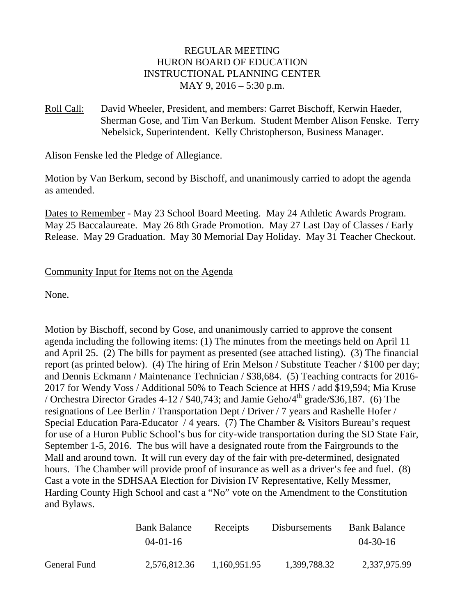## REGULAR MEETING HURON BOARD OF EDUCATION INSTRUCTIONAL PLANNING CENTER MAY 9, 2016 – 5:30 p.m.

Roll Call: David Wheeler, President, and members: Garret Bischoff, Kerwin Haeder, Sherman Gose, and Tim Van Berkum. Student Member Alison Fenske. Terry Nebelsick, Superintendent. Kelly Christopherson, Business Manager.

Alison Fenske led the Pledge of Allegiance.

Motion by Van Berkum, second by Bischoff, and unanimously carried to adopt the agenda as amended.

Dates to Remember - May 23 School Board Meeting. May 24 Athletic Awards Program. May 25 Baccalaureate. May 26 8th Grade Promotion. May 27 Last Day of Classes / Early Release. May 29 Graduation. May 30 Memorial Day Holiday. May 31 Teacher Checkout.

## Community Input for Items not on the Agenda

None.

Motion by Bischoff, second by Gose, and unanimously carried to approve the consent agenda including the following items: (1) The minutes from the meetings held on April 11 and April 25. (2) The bills for payment as presented (see attached listing). (3) The financial report (as printed below). (4) The hiring of Erin Melson / Substitute Teacher / \$100 per day; and Dennis Eckmann / Maintenance Technician / \$38,684. (5) Teaching contracts for 2016- 2017 for Wendy Voss / Additional 50% to Teach Science at HHS / add \$19,594; Mia Kruse / Orchestra Director Grades 4-12 / \$40,743; and Jamie Geho/4<sup>th</sup> grade/\$36,187. (6) The resignations of Lee Berlin / Transportation Dept / Driver / 7 years and Rashelle Hofer / Special Education Para-Educator / 4 years. (7) The Chamber & Visitors Bureau's request for use of a Huron Public School's bus for city-wide transportation during the SD State Fair, September 1-5, 2016. The bus will have a designated route from the Fairgrounds to the Mall and around town. It will run every day of the fair with pre-determined, designated hours. The Chamber will provide proof of insurance as well as a driver's fee and fuel. (8) Cast a vote in the SDHSAA Election for Division IV Representative, Kelly Messmer, Harding County High School and cast a "No" vote on the Amendment to the Constitution and Bylaws.

|              | <b>Bank Balance</b> | Receipts     | <b>Disbursements</b> | <b>Bank Balance</b> |
|--------------|---------------------|--------------|----------------------|---------------------|
|              | $04 - 01 - 16$      |              |                      | $04 - 30 - 16$      |
| General Fund | 2,576,812.36        | 1,160,951.95 | 1,399,788.32         | 2,337,975.99        |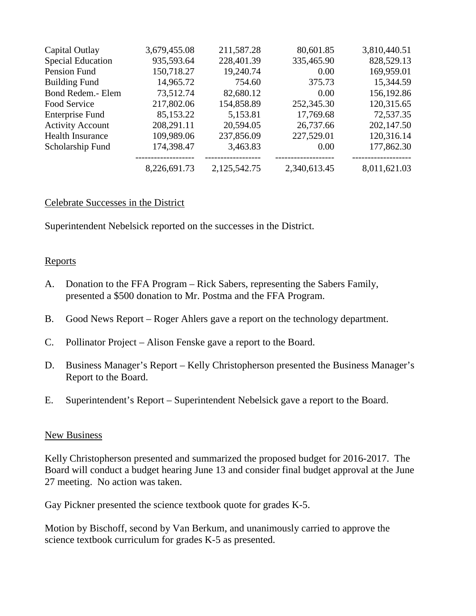| Capital Outlay           | 3,679,455.08 | 211,587.28   | 80,601.85    | 3,810,440.51 |
|--------------------------|--------------|--------------|--------------|--------------|
| <b>Special Education</b> | 935,593.64   | 228,401.39   | 335,465.90   | 828,529.13   |
| Pension Fund             | 150,718.27   | 19,240.74    | 0.00         | 169,959.01   |
| <b>Building Fund</b>     | 14,965.72    | 754.60       | 375.73       | 15,344.59    |
| Bond Redem.- Elem        | 73,512.74    | 82,680.12    | 0.00         | 156,192.86   |
| Food Service             | 217,802.06   | 154,858.89   | 252,345.30   | 120,315.65   |
| <b>Enterprise Fund</b>   | 85,153.22    | 5,153.81     | 17,769.68    | 72,537.35    |
| <b>Activity Account</b>  | 208,291.11   | 20,594.05    | 26,737.66    | 202,147.50   |
| <b>Health Insurance</b>  | 109,989.06   | 237,856.09   | 227,529.01   | 120,316.14   |
| Scholarship Fund         | 174,398.47   | 3,463.83     | 0.00         | 177,862.30   |
|                          | 8,226,691.73 | 2,125,542.75 | 2,340,613.45 | 8,011,621.03 |

## Celebrate Successes in the District

Superintendent Nebelsick reported on the successes in the District.

## **Reports**

- A. Donation to the FFA Program Rick Sabers, representing the Sabers Family, presented a \$500 donation to Mr. Postma and the FFA Program.
- B. Good News Report Roger Ahlers gave a report on the technology department.
- C. Pollinator Project Alison Fenske gave a report to the Board.
- D. Business Manager's Report Kelly Christopherson presented the Business Manager's Report to the Board.
- E. Superintendent's Report Superintendent Nebelsick gave a report to the Board.

## New Business

Kelly Christopherson presented and summarized the proposed budget for 2016-2017. The Board will conduct a budget hearing June 13 and consider final budget approval at the June 27 meeting. No action was taken.

Gay Pickner presented the science textbook quote for grades K-5.

Motion by Bischoff, second by Van Berkum, and unanimously carried to approve the science textbook curriculum for grades K-5 as presented.